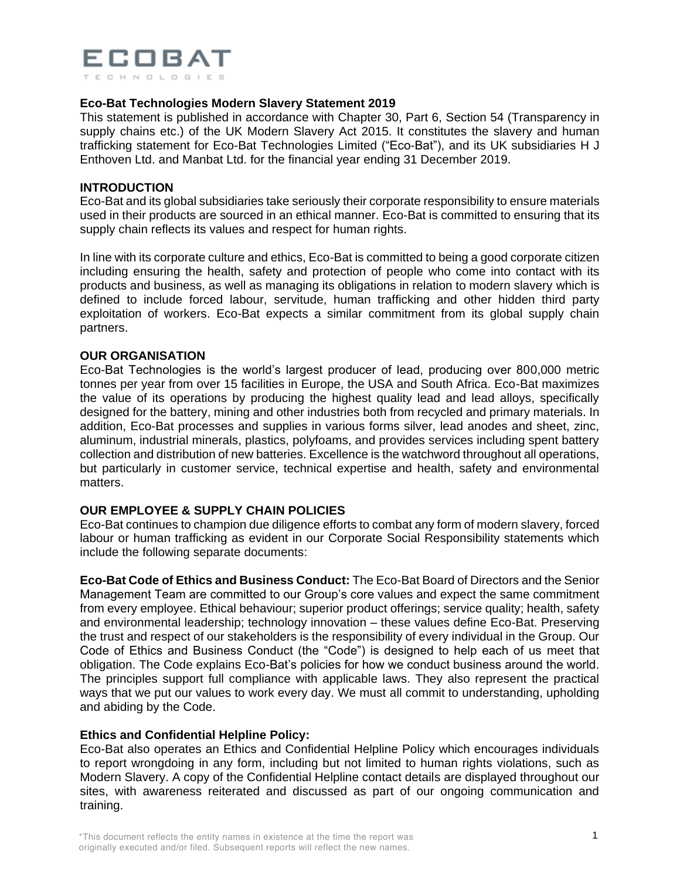

# **Eco-Bat Technologies Modern Slavery Statement 2019**

This statement is published in accordance with Chapter 30, Part 6, Section 54 (Transparency in supply chains etc.) of the UK Modern Slavery Act 2015. It constitutes the slavery and human trafficking statement for Eco-Bat Technologies Limited ("Eco-Bat"), and its UK subsidiaries H J Enthoven Ltd. and Manbat Ltd. for the financial year ending 31 December 2019.

### **INTRODUCTION**

Eco-Bat and its global subsidiaries take seriously their corporate responsibility to ensure materials used in their products are sourced in an ethical manner. Eco-Bat is committed to ensuring that its supply chain reflects its values and respect for human rights.

In line with its corporate culture and ethics, Eco-Bat is committed to being a good corporate citizen including ensuring the health, safety and protection of people who come into contact with its products and business, as well as managing its obligations in relation to modern slavery which is defined to include forced labour, servitude, human trafficking and other hidden third party exploitation of workers. Eco-Bat expects a similar commitment from its global supply chain partners.

### **OUR ORGANISATION**

Eco-Bat Technologies is the world's largest producer of lead, producing over 800,000 metric tonnes per year from over 15 facilities in Europe, the USA and South Africa. Eco-Bat maximizes the value of its operations by producing the highest quality lead and lead alloys, specifically designed for the battery, mining and other industries both from recycled and primary materials. In addition, Eco-Bat processes and supplies in various forms silver, lead anodes and sheet, zinc, aluminum, industrial minerals, plastics, polyfoams, and provides services including spent battery collection and distribution of new batteries. Excellence is the watchword throughout all operations, but particularly in customer service, technical expertise and health, safety and environmental matters.

## **OUR EMPLOYEE & SUPPLY CHAIN POLICIES**

Eco-Bat continues to champion due diligence efforts to combat any form of modern slavery, forced labour or human trafficking as evident in our Corporate Social Responsibility statements which include the following separate documents:

**Eco-Bat Code of Ethics and Business Conduct:** The Eco-Bat Board of Directors and the Senior Management Team are committed to our Group's core values and expect the same commitment from every employee. Ethical behaviour; superior product offerings; service quality; health, safety and environmental leadership; technology innovation – these values define Eco-Bat. Preserving the trust and respect of our stakeholders is the responsibility of every individual in the Group. Our Code of Ethics and Business Conduct (the "Code") is designed to help each of us meet that obligation. The Code explains Eco-Bat's policies for how we conduct business around the world. The principles support full compliance with applicable laws. They also represent the practical ways that we put our values to work every day. We must all commit to understanding, upholding and abiding by the Code.

# **Ethics and Confidential Helpline Policy:**

Eco-Bat also operates an Ethics and Confidential Helpline Policy which encourages individuals to report wrongdoing in any form, including but not limited to human rights violations, such as Modern Slavery. A copy of the Confidential Helpline contact details are displayed throughout our sites, with awareness reiterated and discussed as part of our ongoing communication and training.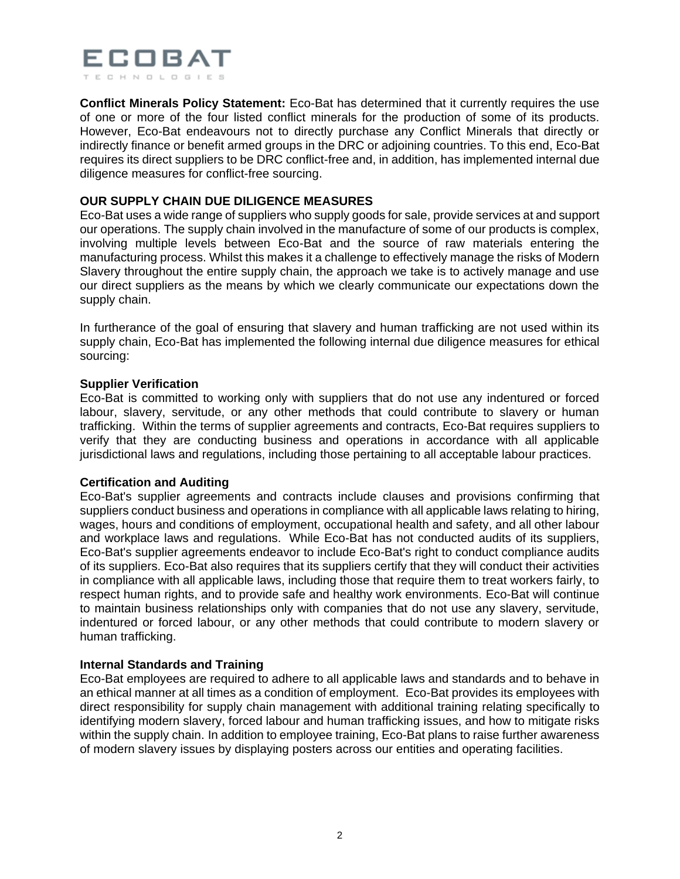

**Conflict Minerals Policy Statement:** Eco-Bat has determined that it currently requires the use of one or more of the four listed conflict minerals for the production of some of its products. However, Eco-Bat endeavours not to directly purchase any Conflict Minerals that directly or indirectly finance or benefit armed groups in the DRC or adjoining countries. To this end, Eco-Bat requires its direct suppliers to be DRC conflict-free and, in addition, has implemented internal due diligence measures for conflict-free sourcing.

# **OUR SUPPLY CHAIN DUE DILIGENCE MEASURES**

Eco-Bat uses a wide range of suppliers who supply goods for sale, provide services at and support our operations. The supply chain involved in the manufacture of some of our products is complex, involving multiple levels between Eco-Bat and the source of raw materials entering the manufacturing process. Whilst this makes it a challenge to effectively manage the risks of Modern Slavery throughout the entire supply chain, the approach we take is to actively manage and use our direct suppliers as the means by which we clearly communicate our expectations down the supply chain.

In furtherance of the goal of ensuring that slavery and human trafficking are not used within its supply chain, Eco-Bat has implemented the following internal due diligence measures for ethical sourcing:

## **Supplier Verification**

Eco-Bat is committed to working only with suppliers that do not use any indentured or forced labour, slavery, servitude, or any other methods that could contribute to slavery or human trafficking. Within the terms of supplier agreements and contracts, Eco-Bat requires suppliers to verify that they are conducting business and operations in accordance with all applicable jurisdictional laws and regulations, including those pertaining to all acceptable labour practices.

## **Certification and Auditing**

Eco-Bat's supplier agreements and contracts include clauses and provisions confirming that suppliers conduct business and operations in compliance with all applicable laws relating to hiring, wages, hours and conditions of employment, occupational health and safety, and all other labour and workplace laws and regulations. While Eco-Bat has not conducted audits of its suppliers, Eco-Bat's supplier agreements endeavor to include Eco-Bat's right to conduct compliance audits of its suppliers. Eco-Bat also requires that its suppliers certify that they will conduct their activities in compliance with all applicable laws, including those that require them to treat workers fairly, to respect human rights, and to provide safe and healthy work environments. Eco-Bat will continue to maintain business relationships only with companies that do not use any slavery, servitude, indentured or forced labour, or any other methods that could contribute to modern slavery or human trafficking.

## **Internal Standards and Training**

Eco-Bat employees are required to adhere to all applicable laws and standards and to behave in an ethical manner at all times as a condition of employment. Eco-Bat provides its employees with direct responsibility for supply chain management with additional training relating specifically to identifying modern slavery, forced labour and human trafficking issues, and how to mitigate risks within the supply chain. In addition to employee training, Eco-Bat plans to raise further awareness of modern slavery issues by displaying posters across our entities and operating facilities.